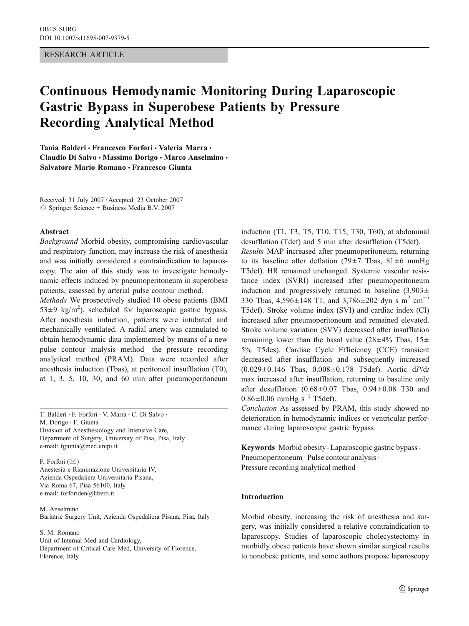## RESEARCH ARTICLE

# Continuous Hemodynamic Monitoring During Laparoscopic Gastric Bypass in Superobese Patients by Pressure Recording Analytical Method

Tania Balderi · Francesco Forfori · Valeria Marra · Claudio Di Salvo · Massimo Dorigo · Marco Anselmino · Salvatore Mario Romano & Francesco Giunta

Received: 31 July 2007 /Accepted: 23 October 2007  $\circledcirc$  Springer Science + Business Media B.V. 2007

#### Abstract

Background Morbid obesity, compromising cardiovascular and respiratory function, may increase the risk of anesthesia and was initially considered a contraindication to laparoscopy. The aim of this study was to investigate hemodynamic effects induced by pneumoperitoneum in superobese patients, assessed by arterial pulse contour method.

Methods We prospectively studied 10 obese patients (BMI  $53\pm9$  kg/m<sup>2</sup>), scheduled for laparoscopic gastric bypass. After anesthesia induction, patients were intubated and mechanically ventilated. A radial artery was cannulated to obtain hemodynamic data implemented by means of a new pulse contour analysis method—the pressure recording analytical method (PRAM). Data were recorded after anesthesia induction (Tbas), at peritoneal insufflation (T0), at 1, 3, 5, 10, 30, and 60 min after pneumoperitoneum

T. Balderi : F. Forfori : V. Marra : C. Di Salvo :

M. Dorigo : F. Giunta

Division of Anesthesiology and Intensive Care, Department of Surgery, University of Pisa, Pisa, Italy e-mail: fgiunta@med.unipi.it

F. Forfori  $(\boxtimes)$ Anestesia e Rianimazione Universitaria IV, Azienda Ospedaliera Universitaria Pisana, Via Roma 67, Pisa 56100, Italy e-mail: forforiden@libero.it

M. Anselmino Bariatric Surgery Unit, Azienda Ospedaliera Pisana, Pisa, Italy

S. M. Romano

Unit of Internal Med and Cardiology, Department of Critical Care Med, University of Florence, Florence, Italy

induction (T1, T3, T5, T10, T15, T30, T60), at abdominal desufflation (Tdef) and 5 min after desufflation (T5def). Results MAP increased after pneumoperitoneum, returning to its baseline after deflation (79 $\pm$ 7 Tbas, 81 $\pm$ 6 mmHg T5def). HR remained unchanged. Systemic vascular resistance index (SVRI) increased after pneumoperitoneum induction and progressively returned to baseline  $(3,903\pm$ 330 Tbas,  $4,596\pm148$  T1, and  $3,786\pm202$  dyn s m<sup>2</sup> cm<sup>-5</sup> T5def). Stroke volume index (SVI) and cardiac index (CI) increased after pneumoperitoneum and remained elevated. Stroke volume variation (SVV) decreased after insufflation remaining lower than the basal value ( $28\pm4\%$  Tbas,  $15\pm$ 5% T5des). Cardiac Cycle Efficiency (CCE) transient decreased after insufflation and subsequently increased (0.029±0.146 Tbas, 0.008±0.178 T5def). Aortic dP/dt max increased after insufflation, returning to baseline only after desufflation  $(0.68 \pm 0.07)$  Tbas,  $0.94 \pm 0.08$  T30 and  $0.86 \pm 0.06$  mmHg s<sup>-1</sup> T5def).

Conclusion As assessed by PRAM, this study showed no deterioration in hemodynamic indices or ventricular performance during laparoscopic gastric bypass.

Keywords Morbid obesity · Laparoscopic gastric bypass · Pneumoperitoneum . Pulse contour analysis. Pressure recording analytical method

### Introduction

Morbid obesity, increasing the risk of anesthesia and surgery, was initially considered a relative contraindication to laparoscopy. Studies of laparoscopic cholecystectomy in morbidly obese patients have shown similar surgical results to nonobese patients, and some authors propose laparoscopy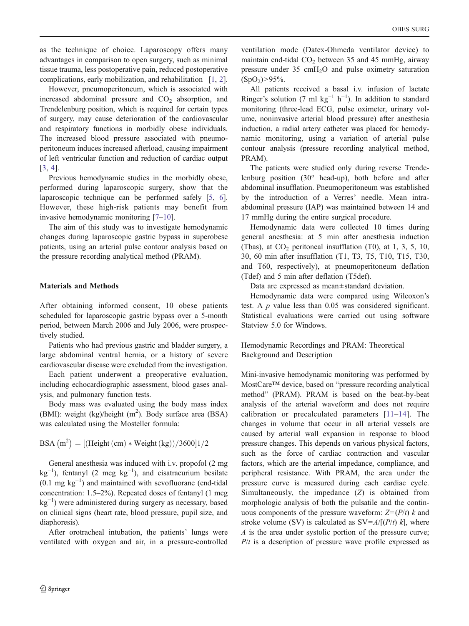as the technique of choice. Laparoscopy offers many advantages in comparison to open surgery, such as minimal tissue trauma, less postoperative pain, reduced postoperative complications, early mobilization, and rehabilitation [\[1](#page-6-0), [2\]](#page-6-0).

However, pneumoperitoneum, which is associated with increased abdominal pressure and  $CO<sub>2</sub>$  absorption, and Trendelenburg position, which is required for certain types of surgery, may cause deterioration of the cardiovascular and respiratory functions in morbidly obese individuals. The increased blood pressure associated with pneumoperitoneum induces increased afterload, causing impairment of left ventricular function and reduction of cardiac output [[3,](#page-6-0) [4](#page-6-0)].

Previous hemodynamic studies in the morbidly obese, performed during laparoscopic surgery, show that the laparoscopic technique can be performed safely [\[5](#page-6-0), [6\]](#page-6-0). However, these high-risk patients may benefit from invasive hemodynamic monitoring [[7](#page-6-0)–[10\]](#page-6-0).

The aim of this study was to investigate hemodynamic changes during laparoscopic gastric bypass in superobese patients, using an arterial pulse contour analysis based on the pressure recording analytical method (PRAM).

# Materials and Methods

After obtaining informed consent, 10 obese patients scheduled for laparoscopic gastric bypass over a 5-month period, between March 2006 and July 2006, were prospectively studied.

Patients who had previous gastric and bladder surgery, a large abdominal ventral hernia, or a history of severe cardiovascular disease were excluded from the investigation.

Each patient underwent a preoperative evaluation, including echocardiographic assessment, blood gases analysis, and pulmonary function tests.

Body mass was evaluated using the body mass index (BMI): weight (kg)/height  $(m^2)$ . Body surface area (BSA) was calculated using the Mosteller formula:

 $BSA (m^2) = [(Height (cm) * Weight (kg))/3600]1/2$ 

General anesthesia was induced with i.v. propofol (2 mg  $kg^{-1}$ ), fentanyl (2 mcg  $kg^{-1}$ ), and cisatracurium besilate  $(0.1 \text{ mg kg}^{-1})$  and maintained with sevofluorane (end-tidal concentration: 1.5–2%). Repeated doses of fentanyl (1 mcg kg−<sup>1</sup> ) were administered during surgery as necessary, based on clinical signs (heart rate, blood pressure, pupil size, and diaphoresis).

After orotracheal intubation, the patients' lungs were ventilated with oxygen and air, in a pressure-controlled

ventilation mode (Datex-Ohmeda ventilator device) to maintain end-tidal  $CO<sub>2</sub>$  between 35 and 45 mmHg, airway pressure under 35 cmH2O and pulse oximetry saturation  $(SpO<sub>2</sub>) > 95\%$ .

All patients received a basal i.v. infusion of lactate Ringer's solution (7 ml  $kg^{-1} h^{-1}$ ). In addition to standard monitoring (three-lead ECG, pulse oximeter, urinary volume, noninvasive arterial blood pressure) after anesthesia induction, a radial artery catheter was placed for hemodynamic monitoring, using a variation of arterial pulse contour analysis (pressure recording analytical method, PRAM).

The patients were studied only during reverse Trendelenburg position (30° head-up), both before and after abdominal insufflation. Pneumoperitoneum was established by the introduction of a Verres' needle. Mean intraabdominal pressure (IAP) was maintained between 14 and 17 mmHg during the entire surgical procedure.

Hemodynamic data were collected 10 times during general anesthesia: at 5 min after anesthesia induction (Tbas), at  $CO<sub>2</sub>$  peritoneal insufflation (T0), at 1, 3, 5, 10, 30, 60 min after insufflation (T1, T3, T5, T10, T15, T30, and T60, respectively), at pneumoperitoneum deflation (Tdef) and 5 min after deflation (T5def).

Data are expressed as mean±standard deviation.

Hemodynamic data were compared using Wilcoxon's test. A p value less than 0.05 was considered significant. Statistical evaluations were carried out using software Statview 5.0 for Windows.

Hemodynamic Recordings and PRAM: Theoretical Background and Description

Mini-invasive hemodynamic monitoring was performed by MostCare™ device, based on "pressure recording analytical method" (PRAM). PRAM is based on the beat-by-beat analysis of the arterial waveform and does not require calibration or precalculated parameters [[11](#page-6-0)–[14](#page-6-0)]. The changes in volume that occur in all arterial vessels are caused by arterial wall expansion in response to blood pressure changes. This depends on various physical factors, such as the force of cardiac contraction and vascular factors, which are the arterial impedance, compliance, and peripheral resistance. With PRAM, the area under the pressure curve is measured during each cardiac cycle. Simultaneously, the impedance (Z) is obtained from morphologic analysis of both the pulsatile and the continuous components of the pressure waveform:  $Z = (P/t)$  k and stroke volume (SV) is calculated as  $SV = A/[(P/t) k]$ , where A is the area under systolic portion of the pressure curve;  $P/t$  is a description of pressure wave profile expressed as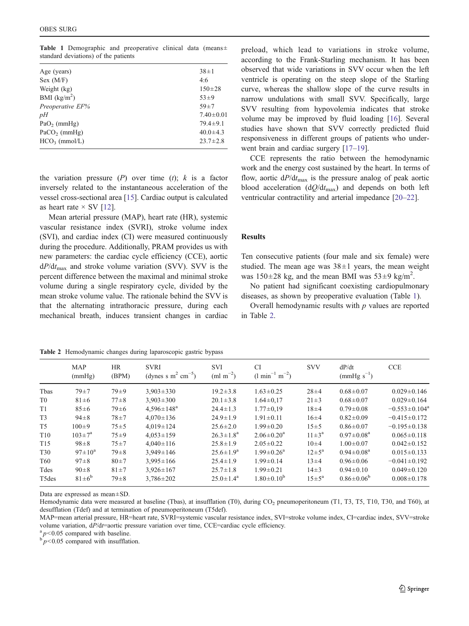<span id="page-2-0"></span>Table 1 Demographic and preoperative clinical data (means± standard deviations) of the patients

| Age (years)                | $38 \pm 1$      |
|----------------------------|-----------------|
| Sex (M/F)                  | 4:6             |
| Weight (kg)                | $150 + 28$      |
| BMI $(kg/m2)$              | $53 + 9$        |
| Preoperative EF%           | $59 + 7$        |
| pH                         | $7.40 \pm 0.01$ |
| $PaO2$ (mmHg)              | $79.4 \pm 9.1$  |
| $PaCO$ <sub>2</sub> (mmHg) | $40.0 \pm 4.3$  |
| $HCO3$ (mmol/L)            | $23.7 \pm 2.8$  |
|                            |                 |

the variation pressure  $(P)$  over time  $(t)$ ; k is a factor inversely related to the instantaneous acceleration of the vessel cross-sectional area [\[15](#page-6-0)]. Cardiac output is calculated as heart rate  $\times$  SV [[12\]](#page-6-0).

Mean arterial pressure (MAP), heart rate (HR), systemic vascular resistance index (SVRI), stroke volume index (SVI), and cardiac index (CI) were measured continuously during the procedure. Additionally, PRAM provides us with new parameters: the cardiac cycle efficiency (CCE), aortic  $dP/dt_{\text{max}}$  and stroke volume variation (SVV). SVV is the percent difference between the maximal and minimal stroke volume during a single respiratory cycle, divided by the mean stroke volume value. The rationale behind the SVV is that the alternating intrathoracic pressure, during each mechanical breath, induces transient changes in cardiac

preload, which lead to variations in stroke volume, according to the Frank-Starling mechanism. It has been observed that wide variations in SVV occur when the left ventricle is operating on the steep slope of the Starling curve, whereas the shallow slope of the curve results in narrow undulations with small SVV. Specifically, large SVV resulting from hypovolemia indicates that stroke volume may be improved by fluid loading [[16\]](#page-6-0). Several studies have shown that SVV correctly predicted fluid responsiveness in different groups of patients who under-went brain and cardiac surgery [[17](#page-6-0)–[19\]](#page-6-0).

CCE represents the ratio between the hemodynamic work and the energy cost sustained by the heart. In terms of flow, aortic  $dP/dt_{\text{max}}$  is the pressure analog of peak aortic blood acceleration  $(dQ/dt_{max})$  and depends on both left ventricular contractility and arterial impedance [\[20](#page-6-0)–[22](#page-6-0)].

#### Results

Ten consecutive patients (four male and six female) were studied. The mean age was  $38\pm1$  years, the mean weight was  $150 \pm 28$  kg, and the mean BMI was  $53 \pm 9$  kg/m<sup>2</sup>.

No patient had significant coexisting cardiopulmonary diseases, as shown by preoperative evaluation (Table 1).

Overall hemodynamic results with  $p$  values are reported in Table 2.

Table 2 Hemodynamic changes during laparoscopic gastric bypass

|                 | MAP<br>(mmHg)       | <b>HR</b><br>(BPM) | <b>SVRI</b><br>(dynes s m <sup>2</sup> cm <sup>-5</sup> ) | <b>SVI</b><br>$\rm (ml~m^{-2})$ | <b>CI</b><br>$(l \text{ min}^{-1} \text{ m}^{-2})$ | <b>SVV</b>         | dP/dt<br>$(mmHg s^{-1})$ | <b>CCE</b>                      |
|-----------------|---------------------|--------------------|-----------------------------------------------------------|---------------------------------|----------------------------------------------------|--------------------|--------------------------|---------------------------------|
| Tbas            | $79 + 7$            | $79\pm9$           | $3.903 \pm 330$                                           | $19.2 \pm 3.8$                  | $1.63 \pm 0.25$                                    | $28 + 4$           | $0.68 \pm 0.07$          | $0.029 \pm 0.146$               |
| T0              | $81 \pm 6$          | $77 + 8$           | $3,903 \pm 300$                                           | $20.1 \pm 3.8$                  | $1.64 \pm 0.17$                                    | $21 \pm 3$         | $0.68 \pm 0.07$          | $0.029 \pm 0.164$               |
| T1              | $85 \pm 6$          | $79 \pm 6$         | $4.596 \pm 148^a$                                         | $24.4 \pm 1.3$                  | $1.77 \pm 0.19$                                    | $18 + 4$           | $0.79 \pm 0.08$          | $-0.553 \pm 0.104$ <sup>a</sup> |
| T <sub>3</sub>  | $94 \pm 8$          | $78 + 7$           | $4.070 \pm 136$                                           | $24.9 \pm 1.9$                  | $1.91 \pm 0.11$                                    | $16 + 4$           | $0.82 \pm 0.09$          | $-0.415 \pm 0.172$              |
| T <sub>5</sub>  | $100 \pm 9$         | $75 \pm 5$         | $4.019 \pm 124$                                           | $25.6 \pm 2.0$                  | $1.99 \pm 0.20$                                    | $15 \pm 5$         | $0.86 \pm 0.07$          | $-0.195 \pm 0.138$              |
| T <sub>10</sub> | $103 \pm 7^{\rm a}$ | $75 + 9$           | $4.053 \pm 159$                                           | $26.3 \pm 1.8^a$                | $2.06 \pm 0.20^a$                                  | $11 \pm 3^a$       | $0.97 \pm 0.08^a$        | $0.065 \pm 0.118$               |
| T <sub>15</sub> | $98 \pm 8$          | $75 + 7$           | $4.040 \pm 116$                                           | $25.8 \pm 1.9$                  | $2.05 \pm 0.22$                                    | $10 + 4$           | $1.00 \pm 0.07$          | $0.042 \pm 0.152$               |
| T <sub>30</sub> | $97 \pm 10^a$       | $79 \pm 8$         | $3.949 \pm 146$                                           | $25.6 \pm 1.9^a$                | $1.99 \pm 0.26^a$                                  | $12 \pm 5^{\rm a}$ | $0.94 \pm 0.08^a$        | $0.015 \pm 0.133$               |
| T60             | $97 + 8$            | $80+7$             | $3.995 \pm 166$                                           | $25.4 \pm 1.9$                  | $1.99 \pm 0.14$                                    | $13 + 4$           | $0.96 \pm 0.06$          | $-0.041 \pm 0.192$              |
| Tdes            | $90 \pm 8$          | $81 \pm 7$         | $3.926 \pm 167$                                           | $25.7 \pm 1.8$                  | $1.99 \pm 0.21$                                    | $14 \pm 3$         | $0.94 \pm 0.10$          | $0.049 \pm 0.120$               |
| T5des           | $81 \pm 6^b$        | $79 \pm 8$         | $3,786 \pm 202$                                           | $25.0 \pm 1.4^a$                | $1.80 \pm 0.10^b$                                  | $15 \pm 5^{\rm a}$ | $0.86 \pm 0.06^b$        | $0.008 \pm 0.178$               |

Data are expressed as mean±SD.

Hemodynamic data were measured at baseline (Tbas), at insufflation (T0), during CO<sub>2</sub> pneumoperitoneum (T1, T3, T5, T10, T30, and T60), at desufflation (Tdef) and at termination of pneumoperitoneum (T5def).

MAP=mean arterial pressure, HR=heart rate, SVRI=systemic vascular resistance index, SVI=stroke volume index, CI=cardiac index, SVV=stroke volume variation, dP/dt=aortic pressure variation over time, CCE=cardiac cycle efficiency.  $a_p < 0.05$  compared with insufflation.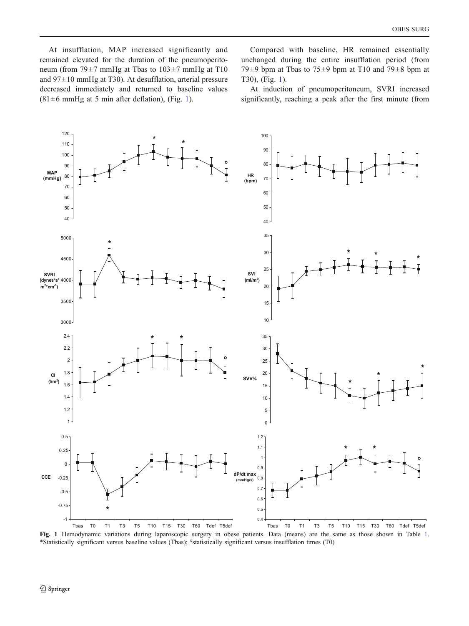<span id="page-3-0"></span>At insufflation, MAP increased significantly and remained elevated for the duration of the pneumoperitoneum (from 79±7 mmHg at Tbas to 103±7 mmHg at T10 and 97±10 mmHg at T30). At desufflation, arterial pressure decreased immediately and returned to baseline values  $(81±6$  mmHg at 5 min after deflation), (Fig. 1).

Compared with baseline, HR remained essentially unchanged during the entire insufflation period (from 79 $\pm$ 9 bpm at Tbas to 75 $\pm$ 9 bpm at T10 and 79 $\pm$ 8 bpm at T30), (Fig. 1).

At induction of pneumoperitoneum, SVRI increased significantly, reaching a peak after the first minute (from



Fig. 1 Hemodynamic variations during laparoscopic surgery in obese patients. Data (means) are the same as those shown in Table [1](#page-2-0). \*Statistically significant versus baseline values (Tbas); °statistically significant versus insufflation times (T0)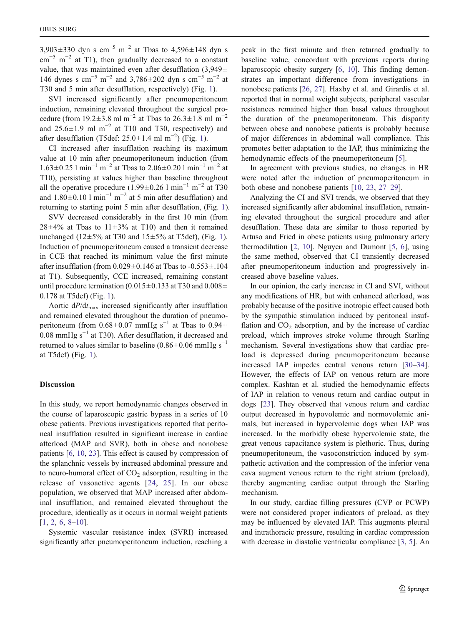3,903±330 dyn s cm<sup>-5</sup> m<sup>-2</sup> at Tbas to 4,596±148 dyn s  $\text{cm}^{-5}$  m<sup>-2</sup> at T1), then gradually decreased to a constant value, that was maintained even after desufflation (3,949± 146 dynes s cm<sup>-5</sup> m<sup>-2</sup> and 3,786±202 dyn s cm<sup>-5</sup> m<sup>-2</sup> at T30 and 5 min after desufflation, respectively) (Fig. [1\)](#page-3-0).

SVI increased significantly after pneumoperitoneum induction, remaining elevated throughout the surgical procedure (from 19.2±3.8 ml m<sup>-2</sup> at Tbas to 26.3±1.8 ml m<sup>-2</sup> and 25.6 $\pm$ 1.9 ml m<sup>-2</sup> at T10 and T30, respectively) and after desufflation (T5def: 25.0±[1](#page-3-0).4 ml m<sup>-2</sup>) (Fig. 1).

CI increased after insufflation reaching its maximum value at 10 min after pneumoperitoneum induction (from 1.63±0.25 l min<sup>-1</sup> m<sup>-2</sup> at Tbas to 2.06±0.20 l min<sup>-1</sup> m<sup>-2</sup> at T10), persisting at values higher than baseline throughout all the operative procedure (1.99±0.26 l min<sup>-1</sup> m<sup>-2</sup> at T30 and  $1.80 \pm 0.10$  l min<sup>-1</sup> m<sup>-2</sup> at 5 min after desufflation) and returning to starting point 5 min after desufflation, (Fig. [1](#page-3-0)).

SVV decreased considerably in the first 10 min (from  $28\pm4\%$  at Tbas to  $11\pm3\%$  at T10) and then it remained unchanged (12 $\pm$ 5% at T30 and 15 $\pm$ 5% at T5def), (Fig. [1\)](#page-3-0). Induction of pneumoperitoneum caused a transient decrease in CCE that reached its minimum value the first minute after insufflation (from  $0.029 \pm 0.146$  at Tbas to  $-0.553 \pm 0.104$ at T1). Subsequently, CCE increased, remaining constant until procedure termination (0.015 $\pm$ 0.133 at T30 and 0.008 $\pm$ 0.178 at T5def) (Fig. [1\)](#page-3-0).

Aortic  $dP/dt_{\text{max}}$  increased significantly after insufflation and remained elevated throughout the duration of pneumoperitoneum (from  $0.68 \pm 0.07$  mmHg s<sup>-1</sup> at Tbas to  $0.94 \pm$ 0.08 mmHg s−<sup>1</sup> at T30). After desufflation, it decreased and returned to values similar to baseline (0.86±0.06 mmHg s<sup>-1</sup> at T5def) (Fig. [1](#page-3-0)).

#### **Discussion**

In this study, we report hemodynamic changes observed in the course of laparoscopic gastric bypass in a series of 10 obese patients. Previous investigations reported that peritoneal insufflation resulted in significant increase in cardiac afterload (MAP and SVR), both in obese and nonobese patients [\[6](#page-6-0), [10](#page-6-0), [23](#page-6-0)]. This effect is caused by compression of the splanchnic vessels by increased abdominal pressure and to neuro-humoral effect of  $CO<sub>2</sub>$  adsorption, resulting in the release of vasoactive agents [[24,](#page-6-0) [25](#page-6-0)]. In our obese population, we observed that MAP increased after abdominal insufflation, and remained elevated throughout the procedure, identically as it occurs in normal weight patients [[1,](#page-6-0) [2](#page-6-0), [6](#page-6-0), [8](#page-6-0)–[10\]](#page-6-0).

Systemic vascular resistance index (SVRI) increased significantly after pneumoperitoneum induction, reaching a

peak in the first minute and then returned gradually to baseline value, concordant with previous reports during laparoscopic obesity surgery [\[6](#page-6-0), [10\]](#page-6-0). This finding demonstrates an important difference from investigations in nonobese patients [\[26](#page-6-0), [27](#page-6-0)]. Haxby et al. and Girardis et al. reported that in normal weight subjects, peripheral vascular resistances remained higher than basal values throughout the duration of the pneumoperitoneum. This disparity between obese and nonobese patients is probably because of major differences in abdominal wall compliance. This promotes better adaptation to the IAP, thus minimizing the hemodynamic effects of the pneumoperitoneum [[5\]](#page-6-0).

In agreement with previous studies, no changes in HR were noted after the induction of pneumoperitoneum in both obese and nonobese patients [[10,](#page-6-0) [23,](#page-6-0) [27](#page-6-0)–[29](#page-6-0)].

Analyzing the CI and SVI trends, we observed that they increased significantly after abdominal insufflation, remaining elevated throughout the surgical procedure and after desufflation. These data are similar to those reported by Artuso and Fried in obese patients using pulmonary artery thermodilution [\[2](#page-6-0), [10\]](#page-6-0). Nguyen and Dumont [[5,](#page-6-0) [6](#page-6-0)], using the same method, observed that CI transiently decreased after pneumoperitoneum induction and progressively increased above baseline values.

In our opinion, the early increase in CI and SVI, without any modifications of HR, but with enhanced afterload, was probably because of the positive inotropic effect caused both by the sympathic stimulation induced by peritoneal insufflation and  $CO<sub>2</sub>$  adsorption, and by the increase of cardiac preload, which improves stroke volume through Starling mechanism. Several investigations show that cardiac preload is depressed during pneumoperitoneum because increased IAP impedes central venous return [[30](#page-6-0)–[34\]](#page-6-0). However, the effects of IAP on venous return are more complex. Kashtan et al. studied the hemodynamic effects of IAP in relation to venous return and cardiac output in dogs [\[23](#page-6-0)]. They observed that venous return and cardiac output decreased in hypovolemic and normovolemic animals, but increased in hypervolemic dogs when IAP was increased. In the morbidly obese hypervolemic state, the great venous capacitance system is plethoric. Thus, during pneumoperitoneum, the vasoconstriction induced by sympathetic activation and the compression of the inferior vena cava augment venous return to the right atrium (preload), thereby augmenting cardiac output through the Starling mechanism.

In our study, cardiac filling pressures (CVP or PCWP) were not considered proper indicators of preload, as they may be influenced by elevated IAP. This augments pleural and intrathoracic pressure, resulting in cardiac compression with decrease in diastolic ventricular compliance [\[3](#page-6-0), [5\]](#page-6-0). An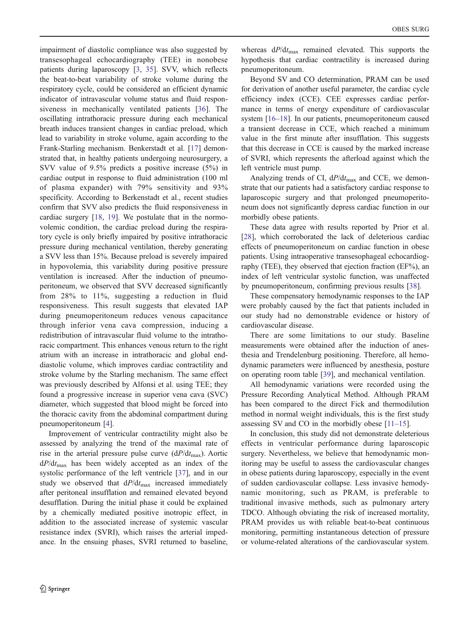impairment of diastolic compliance was also suggested by transesophageal echocardiography (TEE) in nonobese patients during laparoscopy [\[3](#page-6-0), [35](#page-6-0)]. SVV, which reflects the beat-to-beat variability of stroke volume during the respiratory cycle, could be considered an efficient dynamic indicator of intravascular volume status and fluid responsiveness in mechanically ventilated patients [[36\]](#page-7-0). The oscillating intrathoracic pressure during each mechanical breath induces transient changes in cardiac preload, which lead to variability in stroke volume, again according to the Frank-Starling mechanism. Benkerstadt et al. [\[17](#page-6-0)] demonstrated that, in healthy patients undergoing neurosurgery, a SVV value of 9.5% predicts a positive increase (5%) in cardiac output in response to fluid administration (100 ml of plasma expander) with 79% sensitivity and 93% specificity. According to Berkenstadt et al., recent studies confirm that SVV also predicts the fluid responsiveness in cardiac surgery [[18,](#page-6-0) [19](#page-6-0)]. We postulate that in the normovolemic condition, the cardiac preload during the respiratory cycle is only briefly impaired by positive intrathoracic pressure during mechanical ventilation, thereby generating a SVV less than 15%. Because preload is severely impaired in hypovolemia, this variability during positive pressure ventilation is increased. After the induction of pneumoperitoneum, we observed that SVV decreased significantly from 28% to 11%, suggesting a reduction in fluid responsiveness. This result suggests that elevated IAP during pneumoperitoneum reduces venous capacitance through inferior vena cava compression, inducing a redistribution of intravascular fluid volume to the intrathoracic compartment. This enhances venous return to the right atrium with an increase in intrathoracic and global enddiastolic volume, which improves cardiac contractility and stroke volume by the Starling mechanism. The same effect was previously described by Alfonsi et al. using TEE; they found a progressive increase in superior vena cava (SVC) diameter, which suggested that blood might be forced into the thoracic cavity from the abdominal compartment during pneumoperitoneum [[4\]](#page-6-0).

Improvement of ventricular contractility might also be assessed by analyzing the trend of the maximal rate of rise in the arterial pressure pulse curve  $(dP/dt_{\text{max}})$ . Aortic  $dP/dt_{\text{max}}$  has been widely accepted as an index of the systolic performance of the left ventricle [\[37](#page-7-0)], and in our study we observed that  $dP/dt_{\text{max}}$  increased immediately after peritoneal insufflation and remained elevated beyond desufflation. During the initial phase it could be explained by a chemically mediated positive inotropic effect, in addition to the associated increase of systemic vascular resistance index (SVRI), which raises the arterial impedance. In the ensuing phases, SVRI returned to baseline,

whereas  $dP/dt_{\text{max}}$  remained elevated. This supports the hypothesis that cardiac contractility is increased during pneumoperitoneum.

Beyond SV and CO determination, PRAM can be used for derivation of another useful parameter, the cardiac cycle efficiency index (CCE). CEE expresses cardiac performance in terms of energy expenditure of cardiovascular system [\[16](#page-6-0)–[18](#page-6-0)]. In our patients, pneumoperitoneum caused a transient decrease in CCE, which reached a minimum value in the first minute after insufflation. This suggests that this decrease in CCE is caused by the marked increase of SVRI, which represents the afterload against which the left ventricle must pump.

Analyzing trends of CI,  $dP/dt_{\text{max}}$  and CCE, we demonstrate that our patients had a satisfactory cardiac response to laparoscopic surgery and that prolonged pneumoperitoneum does not significantly depress cardiac function in our morbidly obese patients.

These data agree with results reported by Prior et al. [[28\]](#page-6-0), which corroborated the lack of deleterious cardiac effects of pneumoperitoneum on cardiac function in obese patients. Using intraoperative transesophageal echocardiography (TEE), they observed that ejection fraction (EF%), an index of left ventricular systolic function, was unaffected by pneumoperitoneum, confirming previous results [\[38](#page-7-0)].

These compensatory hemodynamic responses to the IAP were probably caused by the fact that patients included in our study had no demonstrable evidence or history of cardiovascular disease.

There are some limitations to our study. Baseline measurements were obtained after the induction of anesthesia and Trendelenburg positioning. Therefore, all hemodynamic parameters were influenced by anesthesia, posture on operating room table [\[39](#page-7-0)], and mechanical ventilation.

All hemodynamic variations were recorded using the Pressure Recording Analytical Method. Although PRAM has been compared to the direct Fick and thermodilution method in normal weight individuals, this is the first study assessing SV and CO in the morbidly obese [\[11](#page-6-0)–[15\]](#page-6-0).

In conclusion, this study did not demonstrate deleterious effects in ventricular performance during laparoscopic surgery. Nevertheless, we believe that hemodynamic monitoring may be useful to assess the cardiovascular changes in obese patients during laparoscopy, especially in the event of sudden cardiovascular collapse. Less invasive hemodynamic monitoring, such as PRAM, is preferable to traditional invasive methods, such as pulmonary artery TDCO. Although obviating the risk of increased mortality, PRAM provides us with reliable beat-to-beat continuous monitoring, permitting instantaneous detection of pressure or volume-related alterations of the cardiovascular system.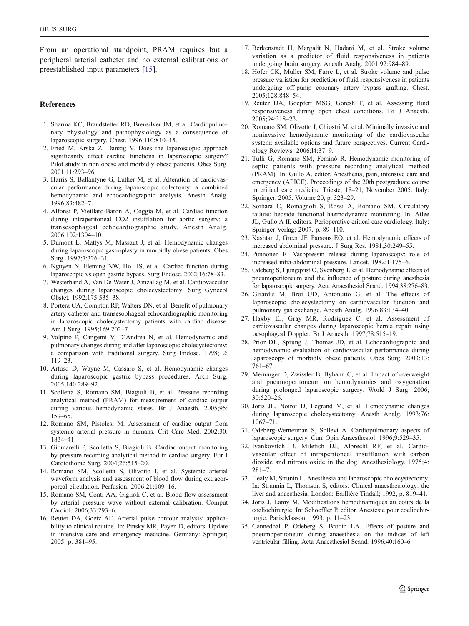<span id="page-6-0"></span>From an operational standpoint, PRAM requires but a peripheral arterial catheter and no external calibrations or preestablished input parameters [15].

## References

- 1. Sharma KC, Brandstetter RD, Brensilver JM, et al. Cardiopulmonary physiology and pathophysiology as a consequence of laparoscopic surgery. Chest. 1996;110:810–15.
- 2. Fried M, Krska Z, Danzig V. Does the laparoscopic approach significantly affect cardiac functions in laparoscopic surgery? Pilot study in non obese and morbidly obese patients. Obes Surg. 2001;11:293–96.
- 3. Harris S, Ballantyne G, Luther M, et al. Alteration of cardiovascular performance during laparoscopic colectomy: a combined hemodynamic and echocardiographic analysis. Anesth Analg. 1996;83:482–7.
- 4. Alfonsi P, Vieillard-Baron A, Coggia M, et al. Cardiac function during intraperitoneal CO2 insufflation for aortic surgery: a transesophageal echocardiographic study. Anesth Analg. 2006;102:1304–10.
- 5. Dumont L, Mattys M, Massaut J, et al. Hemodynamic changes during laparoscopic gastroplasty in morbidly obese patients. Obes Surg. 1997;7:326–31.
- 6. Nguyen N, Fleming NW, Ho HS, et al. Cardiac function during laparoscopic vs open gastric bypass. Surg Endosc. 2002;16:78–83.
- 7. Westerband A, Van De Water J, Amzallag M, et al. Cardiovascular changes during laparoscopic cholecystectomy. Surg Gynecol Obstet. 1992;175:535–38.
- 8. Portera CA, Compton RP, Walters DN, et al. Benefit of pulmonary artery catheter and transesophageal echocardiographic monitoring in laparoscopic cholecystectomy patients with cardiac disease. Am J Surg. 1995;169:202–7.
- 9. Volpino P, Cangemi V, D'Andrea N, et al. Hemodynamic and pulmonary changes during and after laparoscopic cholecystectomy: a comparison with traditional surgery. Surg Endosc. 1998;12: 119–23.
- 10. Artuso D, Wayne M, Cassaro S, et al. Hemodynamic changes during laparoscopic gastric bypass procedures. Arch Surg. 2005;140:289–92.
- 11. Scolletta S, Romano SM, Biagioli B, et al. Pressure recording analytical method (PRAM) for measurement of cardiac output during various hemodynamic states. Br J Anaesth. 2005;95: 159–65.
- 12. Romano SM, Pistolesi M. Assessment of cardiac output from systemic arterial pressure in humans. Crit Care Med. 2002;30: 1834–41.
- 13. Giomarelli P, Scolletta S, Biagioli B. Cardiac output monitoring by pressure recording analytical method in cardiac surgery. Eur J Cardiothorac Surg. 2004;26:515–20.
- 14. Romano SM, Scolletta S, Olivotto I, et al. Systemic arterial waveform analysis and assessment of blood flow during extracorporeal circulation. Perfusion. 2006;21:109–16.
- 15. Romano SM, Conti AA, Giglioli C, et al. Blood flow assessment by arterial pressure wave without external calibration. Comput Cardiol. 2006;33:293–6.
- 16. Reuter DA, Goetz AE. Arterial pulse contour analysis: applicability to clinical routine. In: Pinsky MR, Payen D, editors. Update in intensive care and emergency medicine. Germany: Springer; 2005. p. 381–95.
- 17. Berkenstadt H, Margalit N, Hadani M, et al. Stroke volume variation as a predictor of fluid responsiveness in patients undergoing brain surgery. Anesth Analg. 2001;92:984–89.
- 18. Hofer CK, Muller SM, Furre L, et al. Stroke volume and pulse pressure variation for prediction of fluid responsiveness in patients undergoing off-pump coronary artery bypass grafting. Chest. 2005;128:848–54.
- 19. Reuter DA, Goepfert MSG, Goresh T, et al. Assessing fluid responsiveness during open chest conditions. Br J Anaesth. 2005;94:318–23.
- 20. Romano SM, Olivotto I, Chiostri M, et al. Minimally invasive and noninvasive hemodynamic monitoring of the cardiovascular system: available options and future perspectives. Current Cardiology Reviews. 2006;l4:37–9.
- 21. Tulli G, Romano SM, Feminò R. Hemodynamic monitoring of septic patients with pressure recording analytical method (PRAM). In: Gullo A, editor. Anesthesia, pain, intensive care and emergency (APICE). Proceedings of the 20th postgraduate course in critical care medicine Trieste, 18–21, November 2005. Italy: Springer; 2005. Volume 20, p. 323–29.
- 22. Sorbara C, Romagnoli S, Rossi A, Romano SM. Circulatory failure: bedside functional haemodynamic monitoring. In: Atlee JL, Gullo A II, editors. Perioperative critical care cardiology. Italy: Springer-Verlag; 2007. p. 89–110.
- 23. Kashtan J, Green JF, Parsons EQ, et al. Hemodynamic effects of increased abdominal pressure. J Surg Res. 1981;30:249–55.
- 24. Punnonen R. Vasopressin release during laparoscopy: role of increased intra-abdominal pressure. Lancet. 1982;1:175–6.
- 25. Odeberg S, Ljungqvist O, Svenberg T, et al. Hemodynamic effects of pneumoperitoneum and the influence of posture during anesthesia for laparoscopic surgery. Acta Anaesthesiol Scand. 1994;38:276–83.
- 26. Girardis M, Broi UD, Antonutto G, et al. The effects of laparoscopic cholecystectomy on cardiovascular function and pulmonary gas exchange. Anesth Analg. 1996;83:134–40.
- 27. Haxby EJ, Gray MR, Rodriguez C, et al. Assessment of cardiovascular changes during laparoscopic hernia repair using oesophageal Doppler. Br J Anaesth. 1997;78:515–19.
- 28. Prior DL, Sprung J, Thomas JD, et al. Echocardiographic and hemodynamic evaluation of cardiovascular performance during laparoscopy of morbidly obese patients. Obes Surg. 2003;13: 761–67.
- 29. Meininger D, Zwissler B, Byhahn C, et al. Impact of overweight and pneumoperitoneum on hemodynamics and oxygenation during prolonged laparoscopic surgery. World J Surg. 2006; 30:520–26.
- 30. Joris JL, Noirot D, Legrand M, et al. Hemodynamic changes during laparoscopic cholecystectomy. Anesth Analg. 1993;76: 1067–71.
- 31. Odeberg-Wernerman S, Sollevi A. Cardiopulmonary aspects of laparoscopic surgery. Curr Opin Anaesthesiol. 1996;9:529–35.
- 32. Ivankovitch D, Miletich DJ, Albrecht RF, et al. Cardiovascular effect of intraperitoneal insufflation with carbon dioxide and nitrous oxide in the dog. Anesthesiology. 1975;4: 281–7.
- 33. Healy M, Strunin L. Anesthesia and laparoscopic cholecystectomy. In: Strunnin L, Thomson S, editors. Clinical anaesthesiology: the liver and anaesthesia. London: Baillière Tindall; 1992, p. 819–41.
- 34. Joris J, Lamy M. Modifications hemodinamiques au cours de la coeliochirurgie. In: Schoeffler P, editor. Anestesie pour coeliochirurgie. Paris:Masson; 1993. p. 11–23.
- 35. Gannedhal P, Odeberg S, Brodin LA. Effects of posture and pneumoperitoneum during anaesthesia on the indices of left ventricular filling. Acta Anaesthesiol Scand. 1996;40:160–6.